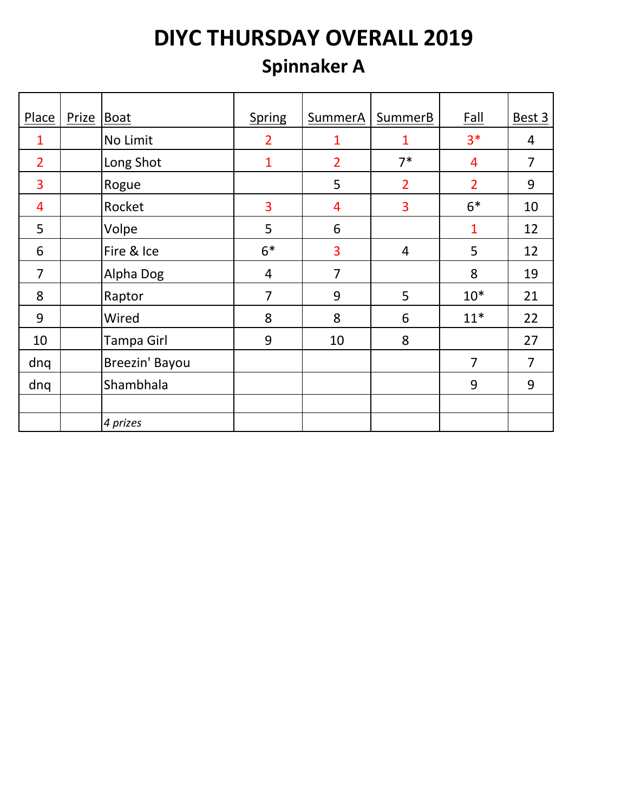## **Spinnaker A**

| Place          | Prize | Boat              | <b>Spring</b>  | SummerA        | SummerB        | <b>Fall</b>    | Best 3         |
|----------------|-------|-------------------|----------------|----------------|----------------|----------------|----------------|
| $\mathbf{1}$   |       | No Limit          | $\overline{2}$ | 1              | $\mathbf{1}$   | $3*$           | $\overline{4}$ |
| $\overline{2}$ |       | Long Shot         | $\mathbf{1}$   | $\overline{2}$ | $7^*$          | 4              | $\overline{7}$ |
| 3              |       | Rogue             |                | 5              | $\overline{2}$ | $\overline{2}$ | 9              |
| 4              |       | Rocket            | 3              | 4              | 3              | $6*$           | 10             |
| 5              |       | Volpe             | 5              | 6              |                | $\mathbf{1}$   | 12             |
| 6              |       | Fire & Ice        | $6*$           | 3              | 4              | 5              | 12             |
| $\overline{7}$ |       | Alpha Dog         | $\overline{4}$ | 7              |                | 8              | 19             |
| 8              |       | Raptor            | $\overline{7}$ | 9              | 5              | $10*$          | 21             |
| 9              |       | Wired             | 8              | 8              | 6              | $11*$          | 22             |
| 10             |       | <b>Tampa Girl</b> | 9              | 10             | 8              |                | 27             |
| dnq            |       | Breezin' Bayou    |                |                |                | $\overline{7}$ | $\overline{7}$ |
| dnq            |       | Shambhala         |                |                |                | 9              | 9              |
|                |       |                   |                |                |                |                |                |
|                |       | 4 prizes          |                |                |                |                |                |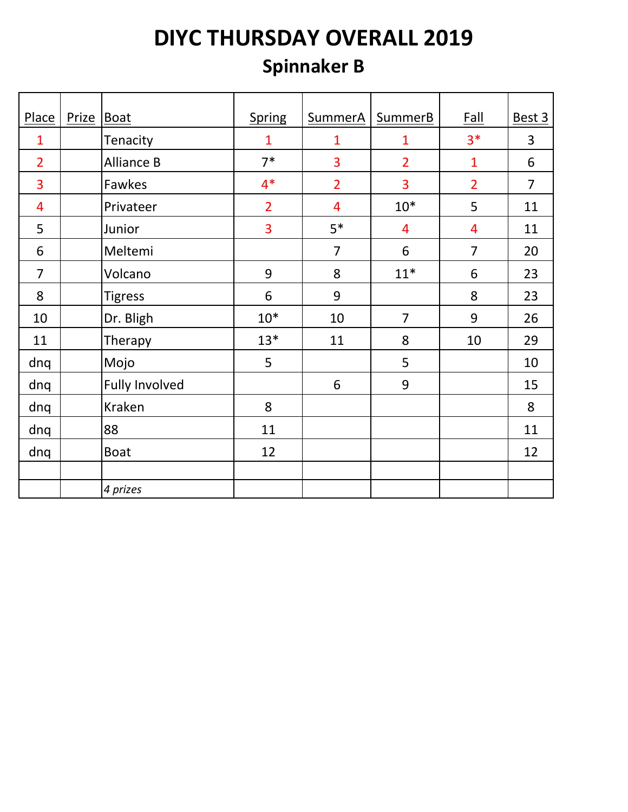## **Spinnaker B**

| Place          | Prize | Boat                  | Spring         | <b>SummerA</b> | <b>SummerB</b> | <b>Fall</b>    | Best 3         |
|----------------|-------|-----------------------|----------------|----------------|----------------|----------------|----------------|
| $\mathbf{1}$   |       | Tenacity              | $\mathbf{1}$   | $\mathbf{1}$   | 1              | $3*$           | 3              |
|                |       |                       |                |                |                |                |                |
| $\overline{2}$ |       | <b>Alliance B</b>     | $7*$           | 3              | $\overline{2}$ | $\mathbf{1}$   | 6              |
| 3              |       | Fawkes                | $4*$           | $\overline{2}$ | 3              | $\overline{2}$ | $\overline{7}$ |
| $\overline{4}$ |       | Privateer             | $\overline{2}$ | $\overline{4}$ | $10*$          | 5              | 11             |
| 5              |       | Junior                | $\overline{3}$ | $5*$           | 4              | $\overline{4}$ | 11             |
| 6              |       | Meltemi               |                | $\overline{7}$ | 6              | $\overline{7}$ | 20             |
| $\overline{7}$ |       | Volcano               | 9              | 8              | $11*$          | 6              | 23             |
| 8              |       | <b>Tigress</b>        | 6              | 9              |                | 8              | 23             |
| 10             |       | Dr. Bligh             | $10*$          | 10             | $\overline{7}$ | 9              | 26             |
| 11             |       | Therapy               | $13*$          | 11             | 8              | 10             | 29             |
| dnq            |       | Mojo                  | 5              |                | 5              |                | 10             |
| dnq            |       | <b>Fully Involved</b> |                | 6              | 9              |                | 15             |
| dnq            |       | Kraken                | 8              |                |                |                | 8              |
| dnq            |       | 88                    | 11             |                |                |                | 11             |
| dnq            |       | <b>Boat</b>           | 12             |                |                |                | 12             |
|                |       |                       |                |                |                |                |                |
|                |       | 4 prizes              |                |                |                |                |                |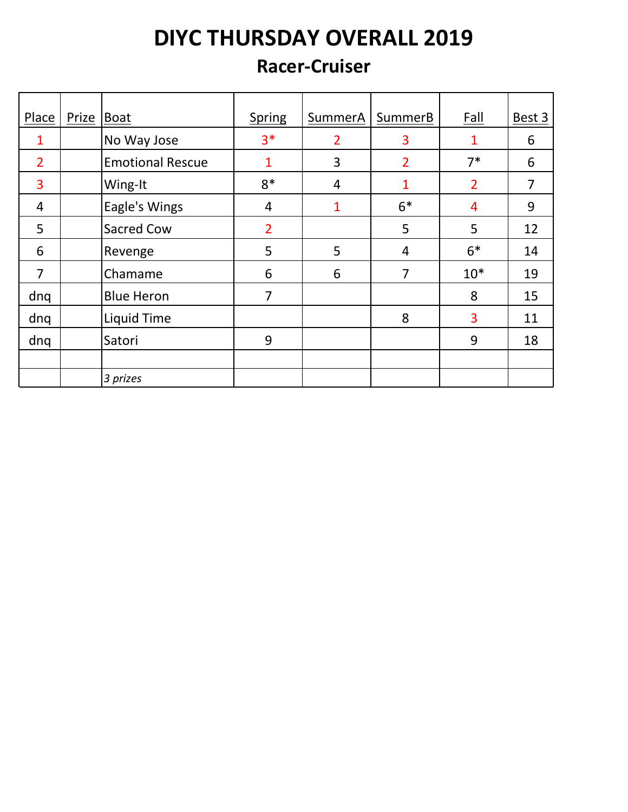#### **Racer-Cruiser**

| Place          | Prize   Boat |                         | <b>Spring</b>  | SummerA        | SummerB        | Fall           | Best 3 |
|----------------|--------------|-------------------------|----------------|----------------|----------------|----------------|--------|
|                |              | No Way Jose             | $3*$           | $\overline{2}$ | 3              | 1              | 6      |
| $\overline{2}$ |              | <b>Emotional Rescue</b> | 1              | 3              | $\overline{2}$ | $7*$           | 6      |
| 3              |              | Wing-It                 | $8*$           | $\overline{4}$ | 1              | $\overline{2}$ | 7      |
| 4              |              | Eagle's Wings           | 4              | $\mathbf{1}$   | $6*$           | $\overline{4}$ | 9      |
| 5              |              | <b>Sacred Cow</b>       | $\overline{2}$ |                | 5              | 5              | 12     |
| 6              |              | Revenge                 | 5              | 5              | 4              | $6*$           | 14     |
| 7              |              | Chamame                 | 6              | 6              | 7              | $10*$          | 19     |
| dnq            |              | <b>Blue Heron</b>       | 7              |                |                | 8              | 15     |
| dnq            |              | Liquid Time             |                |                | 8              | 3              | 11     |
| dnq            |              | Satori                  | 9              |                |                | 9              | 18     |
|                |              |                         |                |                |                |                |        |
|                |              | 3 prizes                |                |                |                |                |        |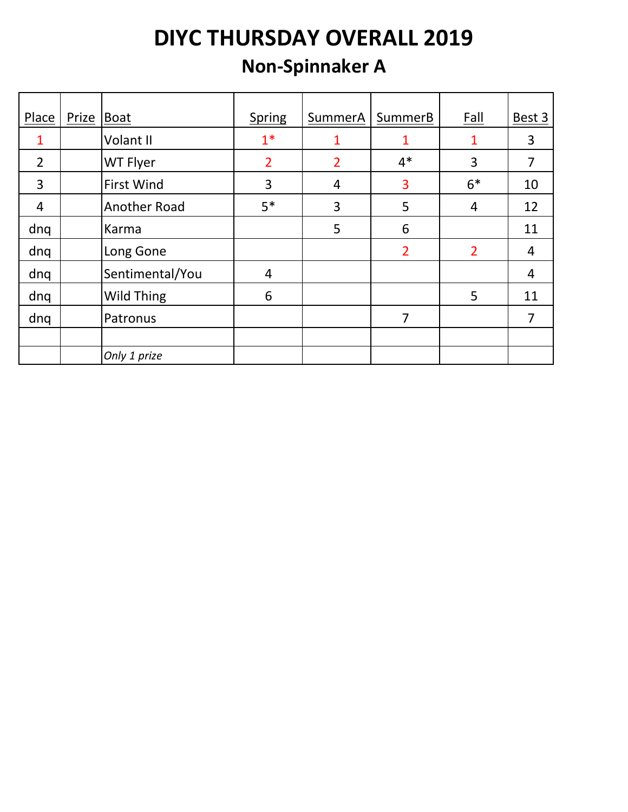### **Non-Spinnaker A**

| Place          | Prize | Boat              | <b>Spring</b>  | SummerA        | SummerB        | <b>Fall</b>    | Best 3 |
|----------------|-------|-------------------|----------------|----------------|----------------|----------------|--------|
| 1              |       | Volant II         | $1*$           | 1              | 1              | 1              | 3      |
| $\overline{2}$ |       | WT Flyer          | $\overline{2}$ | $\overline{2}$ | $4*$           | 3              | 7      |
| 3              |       | <b>First Wind</b> | 3              | $\overline{4}$ | 3              | $6*$           | 10     |
| 4              |       | Another Road      | $5*$           | 3              | 5              | $\overline{4}$ | 12     |
| dnq            |       | Karma             |                | 5              | 6              |                | 11     |
| dnq            |       | Long Gone         |                |                | $\overline{2}$ | $\overline{2}$ | 4      |
| dnq            |       | Sentimental/You   | $\overline{4}$ |                |                |                | 4      |
| dnq            |       | Wild Thing        | 6              |                |                | 5              | 11     |
| dnq            |       | Patronus          |                |                | 7              |                | 7      |
|                |       |                   |                |                |                |                |        |
|                |       | Only 1 prize      |                |                |                |                |        |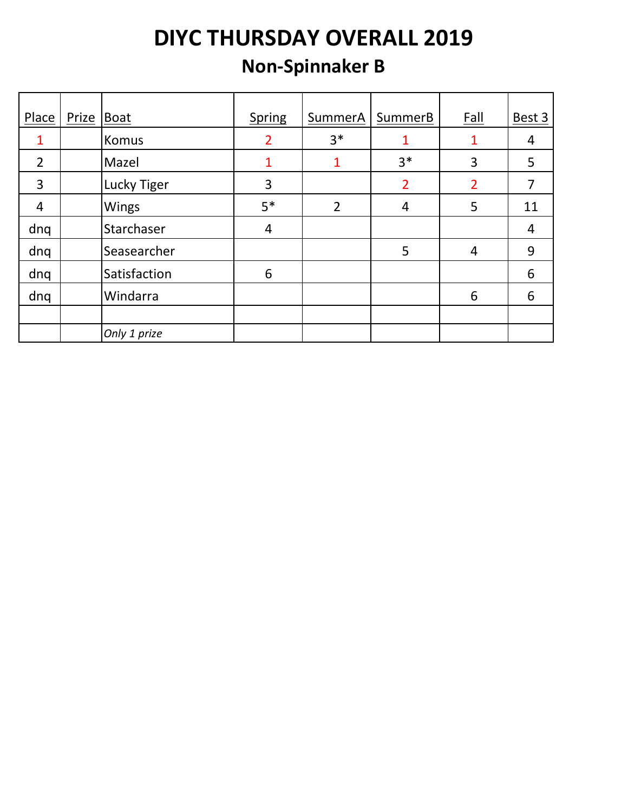### **Non-Spinnaker B**

| Place          | Prize | Boat         | Spring         | SummerA        | SummerB        | <b>Fall</b>    | Best 3 |
|----------------|-------|--------------|----------------|----------------|----------------|----------------|--------|
|                |       |              |                |                |                |                |        |
|                |       | Komus        | $\overline{2}$ | $3*$           | 1              |                | 4      |
| $\overline{2}$ |       | Mazel        | 1              | 1              | $3*$           | 3              | 5      |
| 3              |       | Lucky Tiger  | 3              |                | $\overline{2}$ | $\overline{2}$ | 7      |
| 4              |       | Wings        | $5*$           | $\overline{2}$ | 4              | 5              | 11     |
| dnq            |       | Starchaser   | $\overline{4}$ |                |                |                | 4      |
| dnq            |       | Seasearcher  |                |                | 5              | $\overline{4}$ | 9      |
| dnq            |       | Satisfaction | 6              |                |                |                | 6      |
| dnq            |       | Windarra     |                |                |                | 6              | 6      |
|                |       |              |                |                |                |                |        |
|                |       | Only 1 prize |                |                |                |                |        |